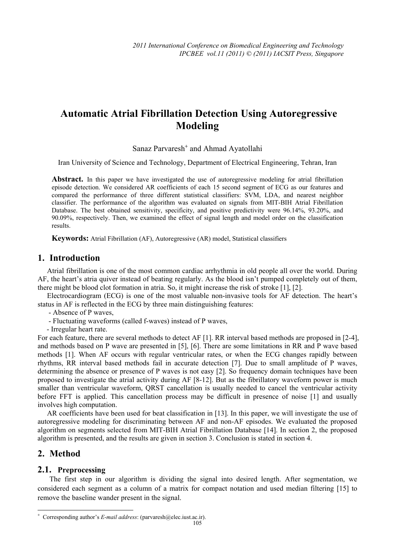# **Automatic Atrial Fibrillation Detection Using Autoregressive Modeling**

Sanaz Parvaresh<sup>+</sup> and Ahmad Ayatollahi

Iran University of Science and Technology, Department of Electrical Engineering, Tehran, Iran

**Abstract.** In this paper we have investigated the use of autoregressive modeling for atrial fibrillation episode detection. We considered AR coefficients of each 15 second segment of ECG as our features and compared the performance of three different statistical classifiers: SVM, LDA, and nearest neighbor classifier. The performance of the algorithm was evaluated on signals from MIT-BIH Atrial Fibrillation Database. The best obtained sensitivity, specificity, and positive predictivity were 96.14%, 93.20%, and 90.09%, respectively. Then, we examined the effect of signal length and model order on the classification results.

**Keywords:** Atrial Fibrillation (AF), Autoregressive (AR) model, Statistical classifiers

# **1. Introduction**

Atrial fibrillation is one of the most common cardiac arrhythmia in old people all over the world. During AF, the heart's atria quiver instead of beating regularly. As the blood isn't pumped completely out of them, there might be blood clot formation in atria. So, it might increase the risk of stroke [1], [2].

Electrocardiogram (ECG) is one of the most valuable non-invasive tools for AF detection. The heart's status in AF is reflected in the ECG by three main distinguishing features:

- Absence of P waves,

- Fluctuating waveforms (called f-waves) instead of P waves,

- Irregular heart rate.

For each feature, there are several methods to detect AF [1]. RR interval based methods are proposed in [2-4], and methods based on P wave are presented in [5], [6]. There are some limitations in RR and P wave based methods [1]. When AF occurs with regular ventricular rates, or when the ECG changes rapidly between rhythms, RR interval based methods fail in accurate detection [7]. Due to small amplitude of P waves, determining the absence or presence of P waves is not easy [2]. So frequency domain techniques have been proposed to investigate the atrial activity during AF [8-12]. But as the fibrillatory waveform power is much smaller than ventricular waveform, QRST cancellation is usually needed to cancel the ventricular activity before FFT is applied. This cancellation process may be difficult in presence of noise [1] and usually involves high computation.

AR coefficients have been used for beat classification in [13]. In this paper, we will investigate the use of autoregressive modeling for discriminating between AF and non-AF episodes. We evaluated the proposed algorithm on segments selected from MIT-BIH Atrial Fibrillation Database [14]. In section 2, the proposed algorithm is presented, and the results are given in section 3. Conclusion is stated in section 4.

# **2. Method**

 $\overline{a}$ 

### **2.1. Preprocessing**

The first step in our algorithm is dividing the signal into desired length. After segmentation, we considered each segment as a column of a matrix for compact notation and used median filtering [15] to remove the baseline wander present in the signal.

<sup>+</sup> Corresponding author's *E-mail address*: (parvaresh@elec.iust.ac.ir).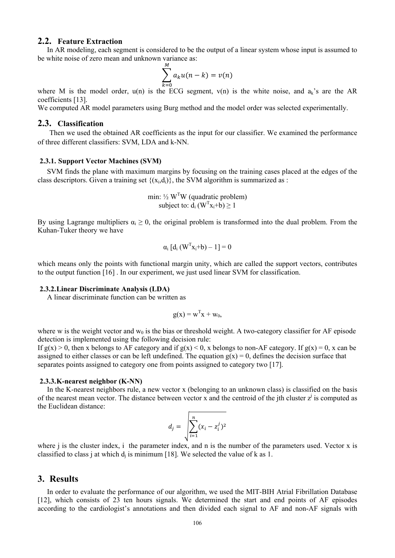### **2.2. Feature Extraction**

In AR modeling, each segment is considered to be the output of a linear system whose input is assumed to be white noise of zero mean and unknown variance as:

$$
\sum_{k=0}^{M} a_k u(n-k) = v(n)
$$

where M is the model order,  $u(n)$  is the ECG segment,  $v(n)$  is the white noise, and  $a_k$ 's are the AR coefficients [13].

We computed AR model parameters using Burg method and the model order was selected experimentally.

### **2.3. Classification**

Then we used the obtained AR coefficients as the input for our classifier. We examined the performance of three different classifiers: SVM, LDA and k-NN.

#### **2.3.1. Support Vector Machines (SVM)**

SVM finds the plane with maximum margins by focusing on the training cases placed at the edges of the class descriptors. Given a training set  $\{(x_i, d_i)\}\)$ , the SVM algorithm is summarized as :

> min:  $\frac{1}{2}$  W<sup>T</sup>W (quadratic problem) subject to:  $\hat{d}_i (W^T x_i + b) \ge 1$

By using Lagrange multipliers  $\alpha_i \geq 0$ , the original problem is transformed into the dual problem. From the Kuhan-Tuker theory we have

$$
\alpha_i \left[ d_i \left( W^T x_i + b \right) - 1 \right] = 0
$$

which means only the points with functional margin unity, which are called the support vectors, contributes to the output function [16] . In our experiment, we just used linear SVM for classification.

#### **2.3.2.Linear Discriminate Analysis (LDA)**

A linear discriminate function can be written as

$$
g(x) = wTx + w0,
$$

where w is the weight vector and  $w_0$  is the bias or threshold weight. A two-category classifier for AF episode detection is implemented using the following decision rule:

If  $g(x) > 0$ , then x belongs to AF category and if  $g(x) < 0$ , x belongs to non-AF category. If  $g(x) = 0$ , x can be assigned to either classes or can be left undefined. The equation  $g(x) = 0$ , defines the decision surface that separates points assigned to category one from points assigned to category two [17].

#### **2.3.3.K-nearest neighbor (K-NN)**

In the K-nearest neighbors rule, a new vector x (belonging to an unknown class) is classified on the basis of the nearest mean vector. The distance between vector x and the centroid of the jth cluster  $z^j$  is computed as the Euclidean distance:

$$
d_j = \sqrt{\sum_{i=1}^n (x_i - z_i^j)^2}
$$

where j is the cluster index, i the parameter index, and n is the number of the parameters used. Vector x is classified to class j at which  $d_i$  is minimum [18]. We selected the value of k as 1.

### **3. Results**

In order to evaluate the performance of our algorithm, we used the MIT-BIH Atrial Fibrillation Database [12], which consists of 23 ten hours signals. We determined the start and end points of AF episodes according to the cardiologist's annotations and then divided each signal to AF and non-AF signals with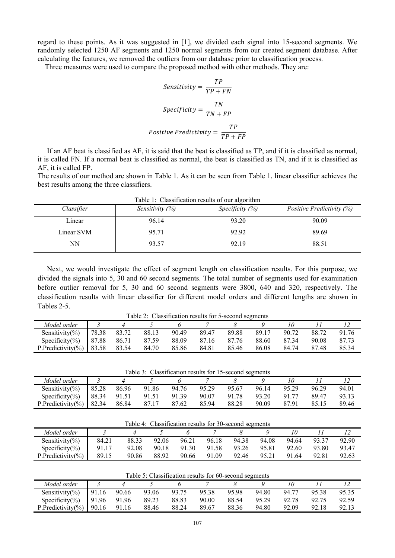regard to these points. As it was suggested in [1], we divided each signal into 15-second segments. We randomly selected 1250 AF segments and 1250 normal segments from our created segment database. After calculating the features, we removed the outliers from our database prior to classification process.

Three measures were used to compare the proposed method with other methods. They are:

Sensitivity = 
$$
\frac{TP}{TP + FN}
$$
  
Specificity = 
$$
\frac{TN}{TN + FP}
$$
  
Positive Predictivity = 
$$
\frac{TP}{TP + FP}
$$

If an AF beat is classified as AF, it is said that the beat is classified as TP, and if it is classified as normal, it is called FN. If a normal beat is classified as normal, the beat is classified as TN, and if it is classified as AF, it is called FP.

The results of our method are shown in Table 1. As it can be seen from Table 1, linear classifier achieves the best results among the three classifiers.

| Tuble 1. Chassilleation results of our differential |                    |                    |                           |  |  |  |  |  |  |  |
|-----------------------------------------------------|--------------------|--------------------|---------------------------|--|--|--|--|--|--|--|
| Classifier                                          | Sensitivity $(\%)$ | Specificity $(\%)$ | Positive Predictivity (%) |  |  |  |  |  |  |  |
| Linear                                              | 96.14              | 93.20              | 90.09                     |  |  |  |  |  |  |  |
| Linear SVM                                          | 95.71              | 92.92              | 89.69                     |  |  |  |  |  |  |  |
| NΝ                                                  | 93.57              | 92.19              | 88.51                     |  |  |  |  |  |  |  |

Table  $1$ : Classification results of our algorithm

Next, we would investigate the effect of segment length on classification results. For this purpose, we divided the signals into 5, 30 and 60 second segments. The total number of segments used for examination before outlier removal for 5, 30 and 60 second segments were 3800, 640 and 320, respectively. The classification results with linear classifier for different model orders and different lengths are shown in Tables 2-5.

Table 2: Classification results for 5-second segments

| $-$ wore $-$ . Cresponsive weight is solving for $v$ besoning between $v$ |       |       |       |       |       |       |       |       |       |       |  |
|---------------------------------------------------------------------------|-------|-------|-------|-------|-------|-------|-------|-------|-------|-------|--|
| Model order                                                               |       |       |       |       |       |       |       |       |       |       |  |
| Sensitivity( $\%$ )                                                       | 78.38 | 83.72 | 88.13 | 90.49 | 89.47 | 89.88 | 89.17 | 90.72 | 88.72 | 91.76 |  |
| Specificity( $\%$ )                                                       | 87.88 | 86.71 | 87.59 | 88.09 | 87.16 | 87 76 | 88.60 | 87 34 | 90.08 | 87.73 |  |
| P.Predictivity(%)                                                         | 83.58 | 83.54 | 84.70 | 85.86 | 84.81 | 85.46 | 86.08 | 84.74 | 87.48 | 85.34 |  |

Table 3: Classification results for 15-second segments

| Model order         |       |       |       |       |       |       |       |       |       |       |
|---------------------|-------|-------|-------|-------|-------|-------|-------|-------|-------|-------|
| Sensitivity( $\%$ ) | 85.28 | 86.96 | 91.86 | 94.76 | 95.29 | 95.67 | 96 14 | 95.29 | 96.29 | 94.01 |
| Specificity(%)      | 88.34 | 91.51 | 91.51 | 91.39 | 90.07 | 91.78 | 93.20 | 91.77 | 89.47 | 93.13 |
| P.Predictivity(%)   | 82.34 | 86.84 | 87.17 | 87.62 | 85.94 | 88.28 | 90.09 | 87.91 | 85.15 | 89.46 |

| Table 4: Classification results for 30-second segments |       |       |       |       |       |       |       |       |       |       |  |
|--------------------------------------------------------|-------|-------|-------|-------|-------|-------|-------|-------|-------|-------|--|
| Model order                                            |       |       |       |       |       |       |       |       |       |       |  |
| Sensitivity( $\%$ )                                    | 84.21 | 88.33 | 92.06 | 96.21 | 96.18 | 94.38 | 94.08 | 94.64 | 93.37 | 92.90 |  |
| Specificity( $\%$ )                                    | 91.17 | 92.08 | 90.18 | 91.30 | 91.58 | 93.26 | 95.81 | 92.60 | 93.80 | 93.47 |  |
| P. Predictivity( $\%$ )                                | 89.15 | 90.86 | 88.92 | 90.66 | 91.09 | 92.46 | 95.21 | 91.64 | 92.81 | 92.63 |  |

Table 5: Classification results for 60-second segments

| Model order            |       |       |       |       |       |       |       |       |       |       |
|------------------------|-------|-------|-------|-------|-------|-------|-------|-------|-------|-------|
| Sensitivity( $\%$ )    | 91.16 | 90.66 | 93.06 | 93.75 | 95.38 | 95.98 | 94.80 | 94.77 | 95.38 | 95.35 |
| Specificity( $\%$ )    | 91.96 | 91.96 | 89.23 | 88.83 | 90.00 | 88.54 | 95.29 | 92.78 | 92.75 | 92.59 |
| P. Predictivity $\%$ ) | 90.16 | 91.16 | 88.46 | 88.24 | 89.67 | 88.36 | 94.80 | 92.09 | 92.18 | 92.13 |